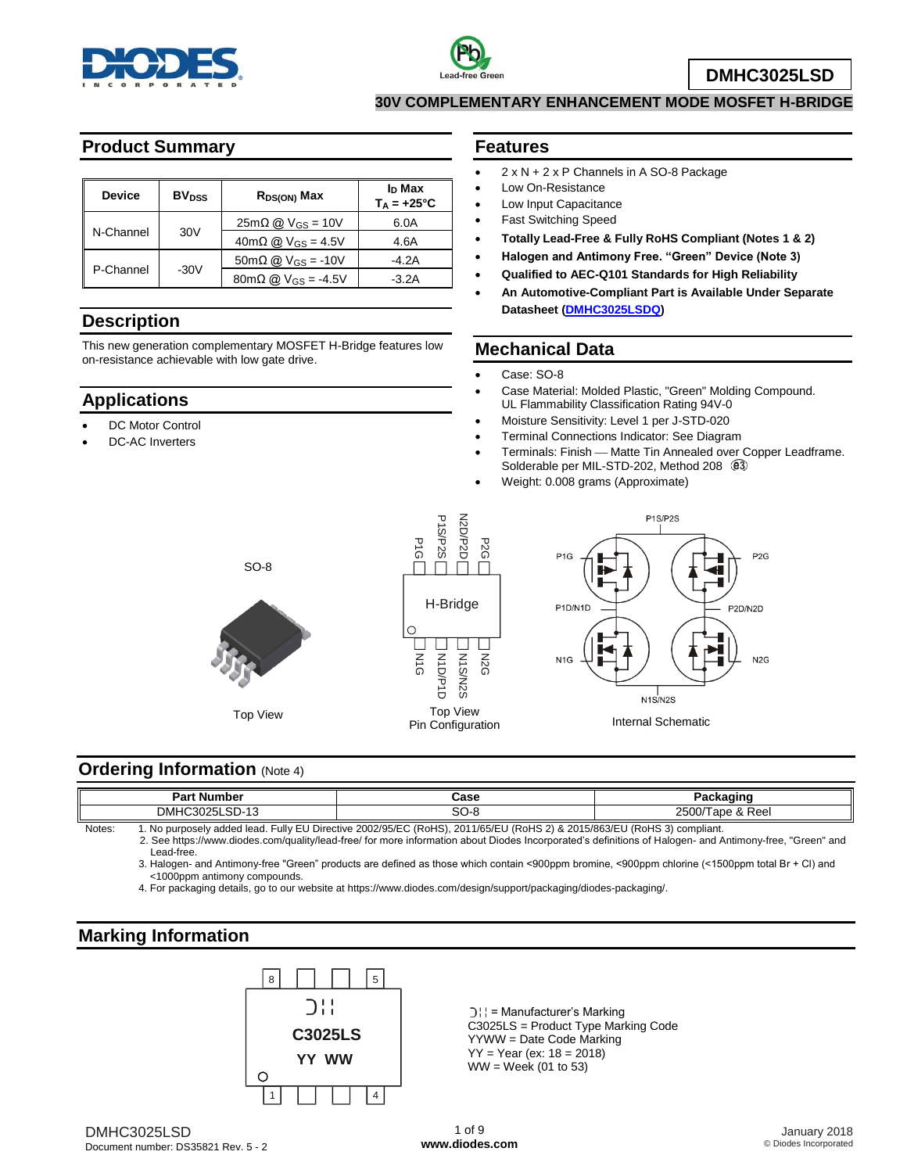



**DMHC3025LSD**

#### **30V COMPLEMENTARY ENHANCEMENT MODE MOSFET H-BRIDGE**

# **Product Summary**

| <b>Device</b> | <b>BV</b> <sub>DSS</sub> | $R_{DS(ON)}$ Max                                            | I <sub>D</sub> Max<br>$T_A = +25^{\circ}C$ |
|---------------|--------------------------|-------------------------------------------------------------|--------------------------------------------|
|               |                          | 6.0A                                                        |                                            |
| N-Channel     | 30 <sub>V</sub>          | $40 \text{m}\Omega$ @ $V$ <sub>GS</sub> = 4.5V              | 4.6A                                       |
|               |                          | $50 \text{m}\Omega \text{ @ V_{GS} = -10V}$                 | -4.2A                                      |
| P-Channel     | $-30V$                   | $80 \text{m} \Omega \text{ (}0\text{)} \text{V}$ Gs = -4.5V | $-3.2A$                                    |

### **Description**

This new generation complementary MOSFET H-Bridge features low on-resistance achievable with low gate drive.

### **Applications**

- DC Motor Control
- DC-AC Inverters

#### **Features**

- 2 x N + 2 x P Channels in A SO-8 Package
- Low On-Resistance
- Low Input Capacitance
- Fast Switching Speed
- **Totally Lead-Free & Fully RoHS Compliant (Notes 1 & 2)**
- **Halogen and Antimony Free. "Green" Device (Note 3)**
- **Qualified to AEC-Q101 Standards for High Reliability**
- **An Automotive-Compliant Part is Available Under Separate Datasheet [\(DMHC3025LSDQ\)](http://www.diodes.com/_files/datasheets/DMHC3025LSDQ.pdf)**

#### **Mechanical Data**

- Case: SO-8
- Case Material: Molded Plastic, "Green" Molding Compound. UL Flammability Classification Rating 94V-0
- Moisture Sensitivity: Level 1 per J-STD-020
- Terminal Connections Indicator: See Diagram
- Terminals: Finish Matte Tin Annealed over Copper Leadframe. Solderable per MIL-STD-202, Method 208  $@3$
- Weight: 0.008 grams (Approximate)







## **Ordering Information (Note 4)**

|              | <b>Part Number</b>                                                                                                         | Case     | Packaɑinc                |  |  |
|--------------|----------------------------------------------------------------------------------------------------------------------------|----------|--------------------------|--|--|
|              | $\sim$<br>DMHC<br>∟כ״<br>.SD-13                                                                                            | ົ<br>∽∪د | 2500/<br>، & Reel<br>ape |  |  |
| <b>Noton</b> | No purposoly added load Fully ELL Directive 2002/05/EC (PoHS)<br>$2011/RE/EII/D_0HC_2$ $9.8201E/Re2/EII/D_0HC_2$ complient |          |                          |  |  |

Notes: 1. No purposely added lead. Fully EU Directive 2002/95/EC (RoHS), 2011/65/EU (RoHS 2) & 2015/863/EU (RoHS 3) compliant. 2. See [https://www.diodes.com/quality/lead-free/ fo](https://www.diodes.com/quality/lead-free/)r more information about Diodes Incorporated's definitions of Halogen- and Antimony-free, "Green" and Lead-free.

3. Halogen- and Antimony-free "Green" products are defined as those which contain <900ppm bromine, <900ppm chlorine (<1500ppm total Br + Cl) and <1000ppm antimony compounds.

4. For packaging details, go to our website at [https://www.diodes.com/design/support/packaging/diodes-packaging/.](https://www.diodes.com/design/support/packaging/diodes-packaging/)

### **Marking Information**



 $|D|$  = Manufacturer's Marking C3025LS = Product Type Marking Code YYWW = Date Code Marking YY = Year (ex: 18 = 2018) WW = Week (01 to 53)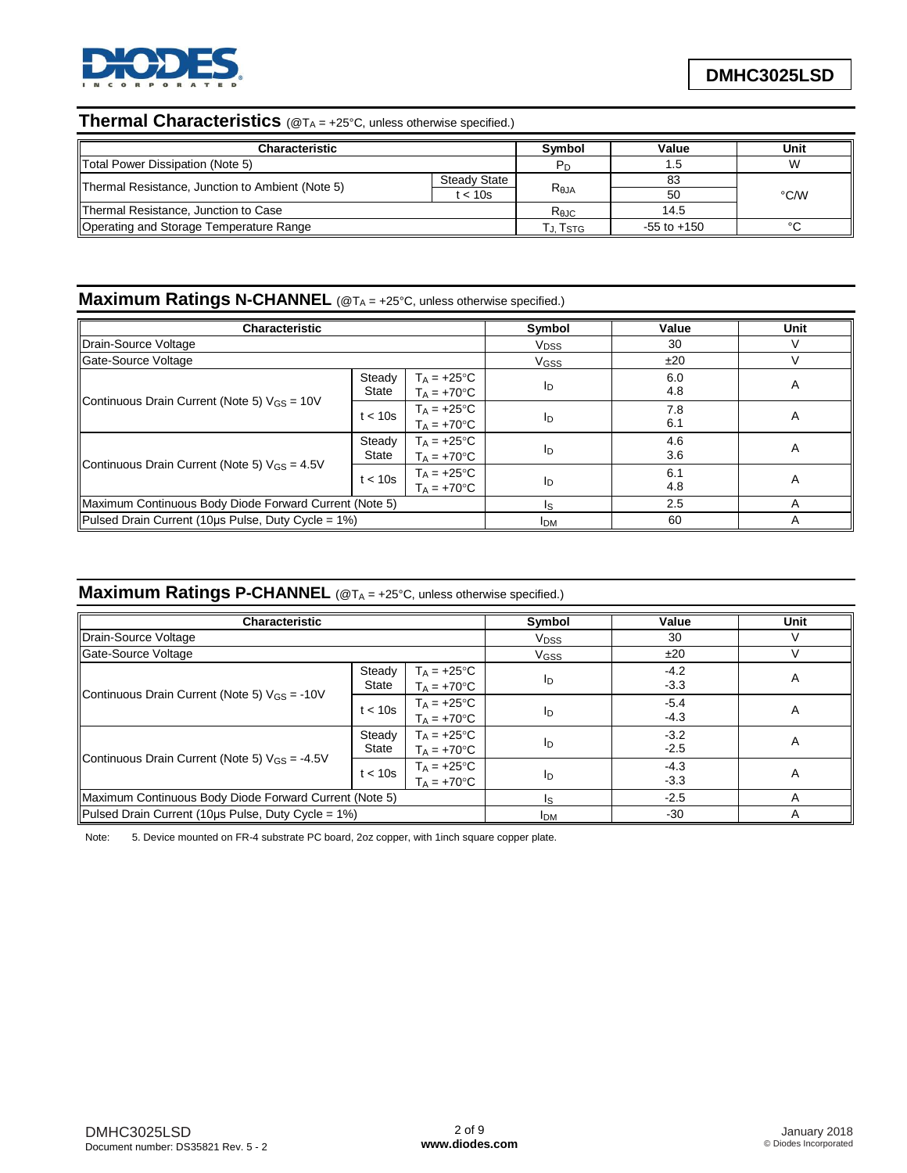

# **Thermal Characteristics** (@T<sup>A</sup> = +25°C, unless otherwise specified.)

| Characteristic                                   |              | <b>Symbol</b>  | Value           | Unit |
|--------------------------------------------------|--------------|----------------|-----------------|------|
| Total Power Dissipation (Note 5)                 |              | P <sub>D</sub> |                 | W    |
| Thermal Resistance, Junction to Ambient (Note 5) | Steady State |                | 83              |      |
|                                                  | t < 10s      | $R_{\theta$ JA | 50              | °C/W |
| Thermal Resistance, Junction to Case             |              | Rejc           | 14.5            |      |
| Operating and Storage Temperature Range          |              | ҄ J. Tsтс      | $-55$ to $+150$ |      |

### **Maximum Ratings N-CHANNEL** (@T<sub>A</sub> = +25°C, unless otherwise specified.)

| <b>Characteristic</b>                                  |                                                           | Symbol                                 | Value            | Unit       |   |
|--------------------------------------------------------|-----------------------------------------------------------|----------------------------------------|------------------|------------|---|
| Drain-Source Voltage                                   |                                                           | <b>V<sub>DSS</sub></b>                 | 30               |            |   |
| Gate-Source Voltage                                    |                                                           |                                        | V <sub>GSS</sub> | ±20        |   |
|                                                        | $T_A = +25^{\circ}C$<br>Steady<br>State<br>$T_A = +70$ °C |                                        | ID               | 6.0<br>4.8 | A |
| Continuous Drain Current (Note 5) $V_{GS} = 10V$       | t < 10s                                                   | $T_A = +25^{\circ}C$<br>$T_A = +70$ °C | ID               | 7.8<br>6.1 | A |
| Steady<br>State                                        |                                                           | $T_A = +25^{\circ}C$<br>$T_A = +70$ °C | ID               | 4.6<br>3.6 | A |
| Continuous Drain Current (Note 5) $V_{GS} = 4.5V$      | t < 10s                                                   |                                        | ID               | 6.1<br>4.8 | A |
| Maximum Continuous Body Diode Forward Current (Note 5) |                                                           | I۹                                     | 2.5              | A          |   |
| Pulsed Drain Current (10µs Pulse, Duty Cycle = 1%)     | <b>IDM</b>                                                | 60                                     |                  |            |   |

# **Maximum Ratings P-CHANNEL** (@T<sub>A</sub> = +25°C, unless otherwise specified.)

| <b>Characteristic</b>                                  |                                                                 | Symbol                                 | Value                  | Unit             |   |
|--------------------------------------------------------|-----------------------------------------------------------------|----------------------------------------|------------------------|------------------|---|
| Drain-Source Voltage                                   |                                                                 |                                        | <b>V<sub>DSS</sub></b> | 30               |   |
| Gate-Source Voltage                                    |                                                                 |                                        | <b>V<sub>GSS</sub></b> | ±20              |   |
|                                                        | Steady<br>$T_A = +25^{\circ}C$<br>State<br>$T_A = +70^{\circ}C$ |                                        | ID                     | $-4.2$<br>$-3.3$ | A |
| Continuous Drain Current (Note 5) $V_{GS} = -10V$      | t < 10s                                                         | $T_A = +25^{\circ}C$<br>$T_A = +70$ °C | Iр                     | $-5.4$<br>$-4.3$ | A |
| Steady<br>State                                        |                                                                 | $T_A = +25$ °C<br>$T_A = +70$ °C       | ID                     | $-3.2$<br>$-2.5$ | A |
| Continuous Drain Current (Note 5) $V_{GS} = -4.5V$     | t < 10s                                                         | $T_A = +25^{\circ}C$<br>$T_A = +70$ °C | Iр                     | $-4.3$<br>$-3.3$ | A |
| Maximum Continuous Body Diode Forward Current (Note 5) | Is                                                              | $-2.5$                                 | А                      |                  |   |
| Pulsed Drain Current (10µs Pulse, Duty Cycle = 1%)     |                                                                 |                                        | <b>I</b> <sub>DM</sub> | $-30$            |   |

Note: 5. Device mounted on FR-4 substrate PC board, 2oz copper, with 1inch square copper plate.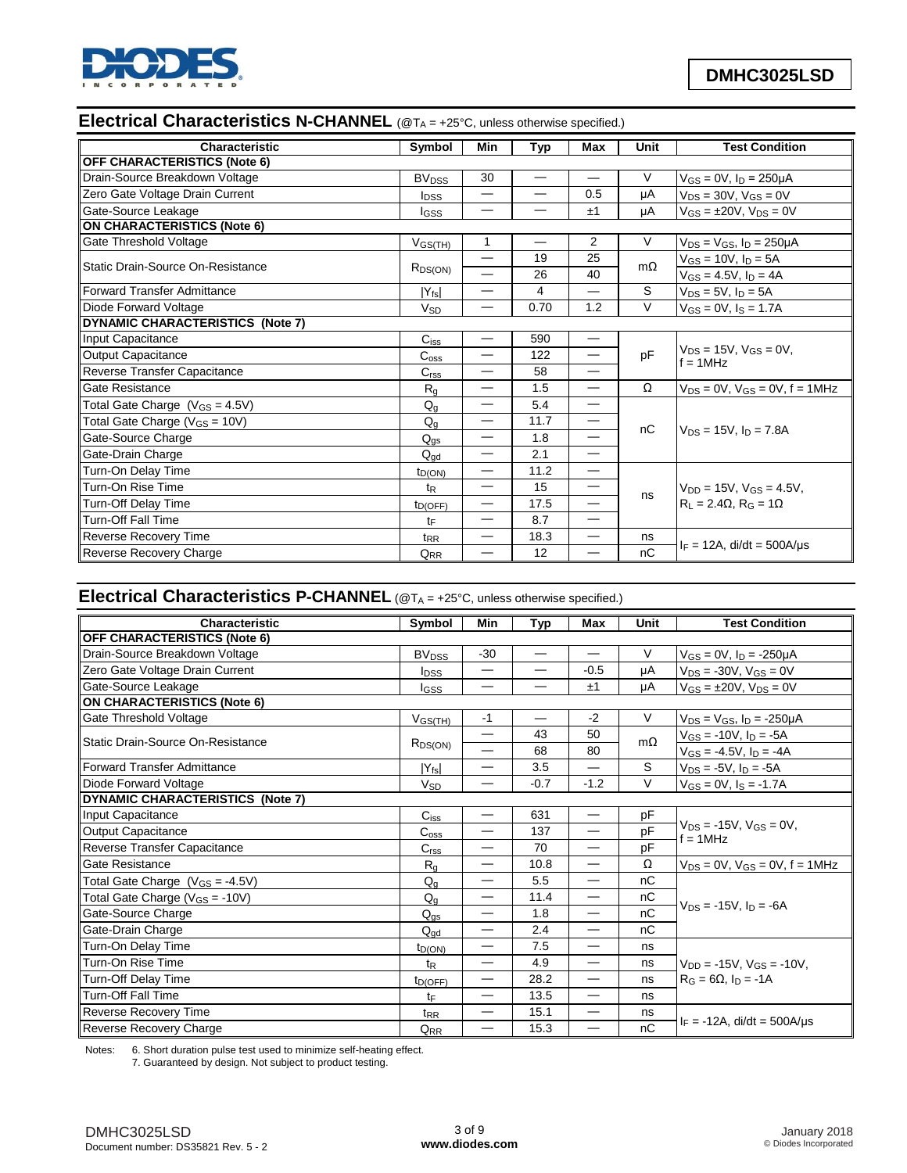

# **Electrical Characteristics N-CHANNEL** (@T<sub>A</sub> = +25°C, unless otherwise specified.)

| Characteristic                      | <b>Symbol</b>                      | Min                      | Typ                      | Max                      | Unit      | <b>Test Condition</b>                          |
|-------------------------------------|------------------------------------|--------------------------|--------------------------|--------------------------|-----------|------------------------------------------------|
| <b>OFF CHARACTERISTICS (Note 6)</b> |                                    |                          |                          |                          |           |                                                |
| Drain-Source Breakdown Voltage      | <b>BV<sub>DSS</sub></b>            | 30                       |                          | $\overline{\phantom{0}}$ | V         | $V_{GS} = 0V$ , $I_D = 250 \mu A$              |
| Zero Gate Voltage Drain Current     | <b>I</b> <sub>DSS</sub>            | —                        | $\overline{\phantom{0}}$ | 0.5                      | μA        | $V_{DS} = 30V$ , $V_{GS} = 0V$                 |
| Gate-Source Leakage                 | lgss                               |                          |                          | ±1                       | μA        | $V_{GS} = \pm 20V$ , $V_{DS} = 0V$             |
| <b>ON CHARACTERISTICS (Note 6)</b>  |                                    |                          |                          |                          |           |                                                |
| Gate Threshold Voltage              | $V$ <sub>GS<math>(TH)</math></sub> | 1                        |                          | $\overline{2}$           | $\vee$    | $V_{DS}$ = $V_{GS}$ , $I_D$ = 250µA            |
| Static Drain-Source On-Resistance   |                                    | $\overline{\phantom{0}}$ | 19                       | 25                       | $m\Omega$ | $V_{GS} = 10V, I_D = 5A$                       |
|                                     | $R_{DS(ON)}$                       |                          | 26                       | 40                       |           | $V_{GS} = 4.5V$ , $I_D = 4A$                   |
| Forward Transfer Admittance         | $ Y_{fs} $                         | $\overline{\phantom{0}}$ | 4                        | $\overline{\phantom{0}}$ | S         | $V_{DS} = 5V$ , $I_D = 5A$                     |
| Diode Forward Voltage               | <b>V<sub>SD</sub></b>              | —                        | 0.70                     | 1.2                      | $\vee$    | $V_{GS} = 0V$ , $I_S = 1.7A$                   |
| DYNAMIC CHARACTERISTICS (Note 7)    |                                    |                          |                          |                          |           |                                                |
| Input Capacitance                   | $C_{iss}$                          | —                        | 590                      |                          |           |                                                |
| <b>Output Capacitance</b>           | $C_{\rm oss}$                      | —                        | 122                      |                          | pF        | $V_{DS} = 15V$ , $V_{GS} = 0V$ .<br>$f = 1MHz$ |
| Reverse Transfer Capacitance        | C <sub>rss</sub>                   | $\overline{\phantom{0}}$ | 58                       | $\overline{\phantom{0}}$ |           |                                                |
| Gate Resistance                     | $R_{q}$                            | —                        | 1.5                      | $\overline{\phantom{0}}$ | Ω         | $V_{DS} = 0V$ , $V_{GS} = 0V$ , $f = 1MHz$     |
| Total Gate Charge $(V_{GS} = 4.5V)$ | $Q_q$                              | —                        | 5.4                      | —                        |           |                                                |
| Total Gate Charge ( $V_{GS}$ = 10V) | $Q_q$                              | —                        | 11.7                     | —                        | nC        |                                                |
| Gate-Source Charge                  | $Q_{qs}$                           | $\overline{\phantom{0}}$ | 1.8                      |                          |           | $V_{DS} = 15V$ . In = 7.8A                     |
| Gate-Drain Charge                   | $Q_{\text{gd}}$                    | —                        | 2.1                      | $\overline{\phantom{0}}$ |           |                                                |
| Turn-On Delay Time                  | $t_{D(ON)}$                        |                          | 11.2                     | $\overline{\phantom{0}}$ |           |                                                |
| Turn-On Rise Time                   | $t_{R}$                            | $\overline{\phantom{0}}$ | 15                       | $\overline{\phantom{0}}$ |           | $V_{DD} = 15V$ , $V_{GS} = 4.5V$ ,             |
| Turn-Off Delay Time                 | $t_{D(OFF)}$                       | —                        | 17.5                     | —                        | ns        | $R_L = 2.4\Omega$ , $R_G = 1\Omega$            |
| <b>Turn-Off Fall Time</b>           | tF                                 |                          | 8.7                      | —                        |           |                                                |
| <b>Reverse Recovery Time</b>        | t <sub>RR</sub>                    | —                        | 18.3                     | —                        | ns        |                                                |
| Reverse Recovery Charge             | $Q_{\underline{RR}}$               |                          | 12                       |                          | nC        | $I_F = 12A$ , di/dt = 500A/us                  |

# **Electrical Characteristics P-CHANNEL** (@T<sub>A</sub> = +25°C, unless otherwise specified.)

| Characteristic                       | Symbol                           | Min                      | Typ    | <b>Max</b>                       | Unit      | <b>Test Condition</b>                          |
|--------------------------------------|----------------------------------|--------------------------|--------|----------------------------------|-----------|------------------------------------------------|
| <b>OFF CHARACTERISTICS (Note 6)</b>  |                                  |                          |        |                                  |           |                                                |
| Drain-Source Breakdown Voltage       | <b>BV<sub>DSS</sub></b>          | $-30$                    |        | —                                | V         | $V_{GS} = 0V$ , $I_D = -250 \mu A$             |
| Zero Gate Voltage Drain Current      | <b>I</b> pss                     | $\overline{\phantom{0}}$ |        | $-0.5$                           | μA        | $V_{DS} = -30V$ , $V_{GS} = 0V$                |
| Gate-Source Leakage                  | <b>I</b> GSS                     | —                        |        | ±1                               | μA        | $V_{GS} = \pm 20V$ , $V_{DS} = 0V$             |
| <b>ON CHARACTERISTICS (Note 6)</b>   |                                  |                          |        |                                  |           |                                                |
| Gate Threshold Voltage               | V <sub>GS(TH)</sub>              | $-1$                     | —      | $-2$                             | V         | $V_{DS} = V_{GS}$ , $I_D = -250 \mu A$         |
| lStatic Drain-Source On-Resistance   |                                  |                          | 43     | 50                               | $m\Omega$ | $V_{GS} = -10V$ , $I_D = -5A$                  |
|                                      | $R_{DS(ON)}$                     |                          | 68     | 80                               |           | $V_{GS} = -4.5V$ , $I_D = -4A$                 |
| Forward Transfer Admittance          | $ Y_{fs} $                       | $\overline{\phantom{0}}$ | 3.5    |                                  | S         | $V_{DS} = -5V$ , $I_D = -5A$                   |
| Diode Forward Voltage                | <b>V<sub>SD</sub></b>            | —                        | $-0.7$ | $-1.2$                           | V         | $V_{GS} = 0V$ , $I_S = -1.7A$                  |
| DYNAMIC CHARACTERISTICS (Note 7)     |                                  |                          |        |                                  |           |                                                |
| Input Capacitance                    | $C_{iss}$                        | —                        | 631    | $\overbrace{\phantom{123321}}$   | pF        |                                                |
| Output Capacitance                   | $\mathtt{C_{oss}}$               |                          | 137    |                                  | pF        | $V_{DS}$ = -15V, $V_{GS}$ = 0V,<br>$f = 1$ MHz |
| Reverse Transfer Capacitance         | C <sub>rss</sub>                 | —                        | 70     | —                                | pF        |                                                |
| Gate Resistance                      | $R_{q}$                          | —                        | 10.8   | —                                | Ω         | $V_{DS}$ = 0V, $V_{GS}$ = 0V, f = 1MHz         |
| Total Gate Charge $(V_{GS} = -4.5V)$ | $Q_g$                            | $\overline{\phantom{0}}$ | 5.5    |                                  | nC        |                                                |
| Total Gate Charge $(V_{GS} = -10V)$  | $Q_{\alpha}$                     | $\overline{\phantom{0}}$ | 11.4   | $\overbrace{\phantom{12333}}$    | nС        |                                                |
| Gate-Source Charge                   | $Q_{qs}$                         | —                        | 1.8    | $\overbrace{\phantom{12321111}}$ | nC        | $V_{DS} = -15V$ . In = -6A                     |
| Gate-Drain Charge                    | $Q_{\underline{q}\underline{d}}$ | —                        | 2.4    | —                                | nC        |                                                |
| Turn-On Delay Time                   | $t_{D(ON)}$                      | -                        | 7.5    |                                  | ns        |                                                |
| Turn-On Rise Time                    | $t_{\mathsf{R}}$                 | —                        | 4.9    | $\overbrace{\phantom{12321111}}$ | ns        | $V_{DD} = -15V$ , $V_{GS} = -10V$ ,            |
| <b>Turn-Off Delay Time</b>           | $t_{D(OFF)}$                     |                          | 28.2   | —                                | ns        | $R_G = 6\Omega$ , $I_D = -1A$                  |
| <b>Turn-Off Fall Time</b>            | tF                               | —                        | 13.5   | $\overline{\phantom{m}}$         | ns        |                                                |
| Reverse Recovery Time                | $t_{RR}$                         | $\overline{\phantom{0}}$ | 15.1   | $\overline{\phantom{0}}$         | ns        |                                                |
| Reverse Recovery Charge              | $Q_{RR}$                         | —                        | 15.3   | —                                | nC        | $I_F = -12A$ , di/dt = 500A/us                 |

Notes: 6. Short duration pulse test used to minimize self-heating effect.

7. Guaranteed by design. Not subject to product testing.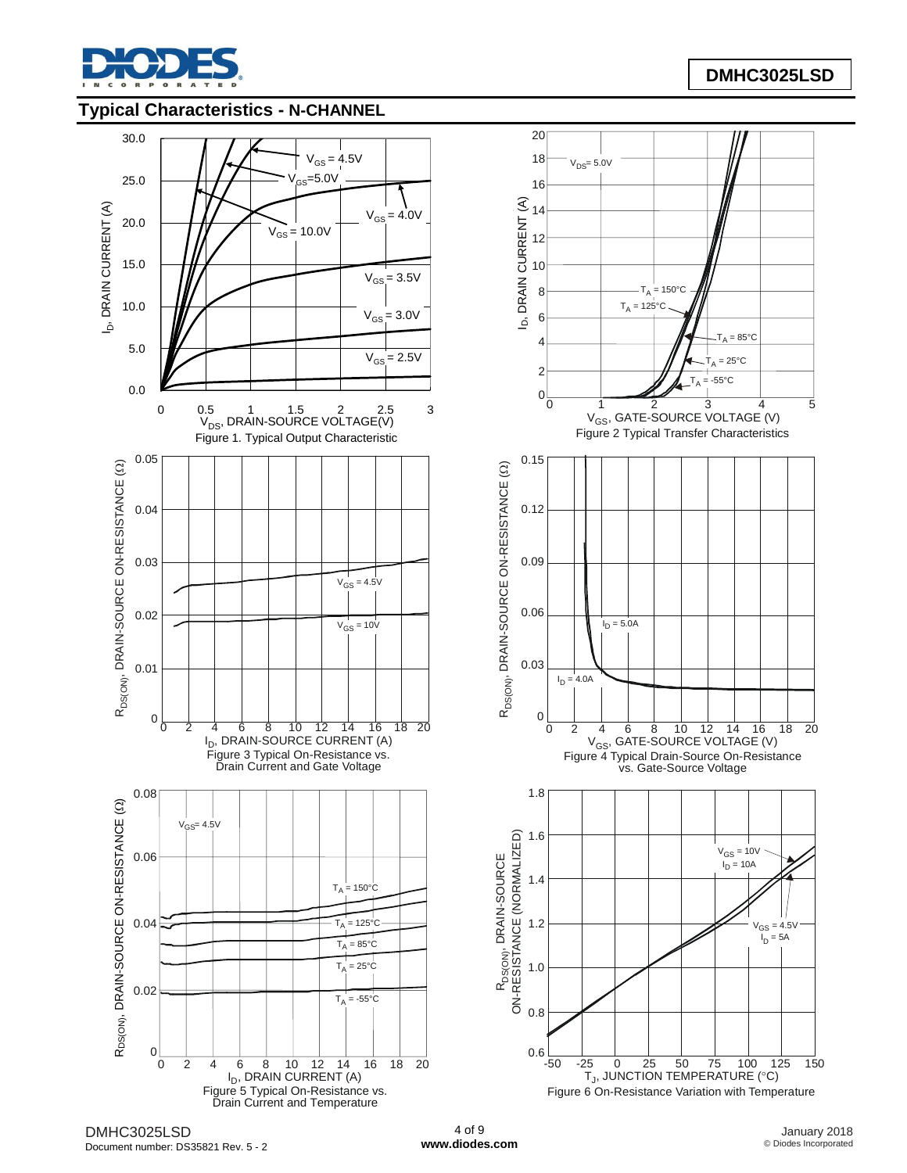

#### **Typical Characteristics - N-CHANNEL**

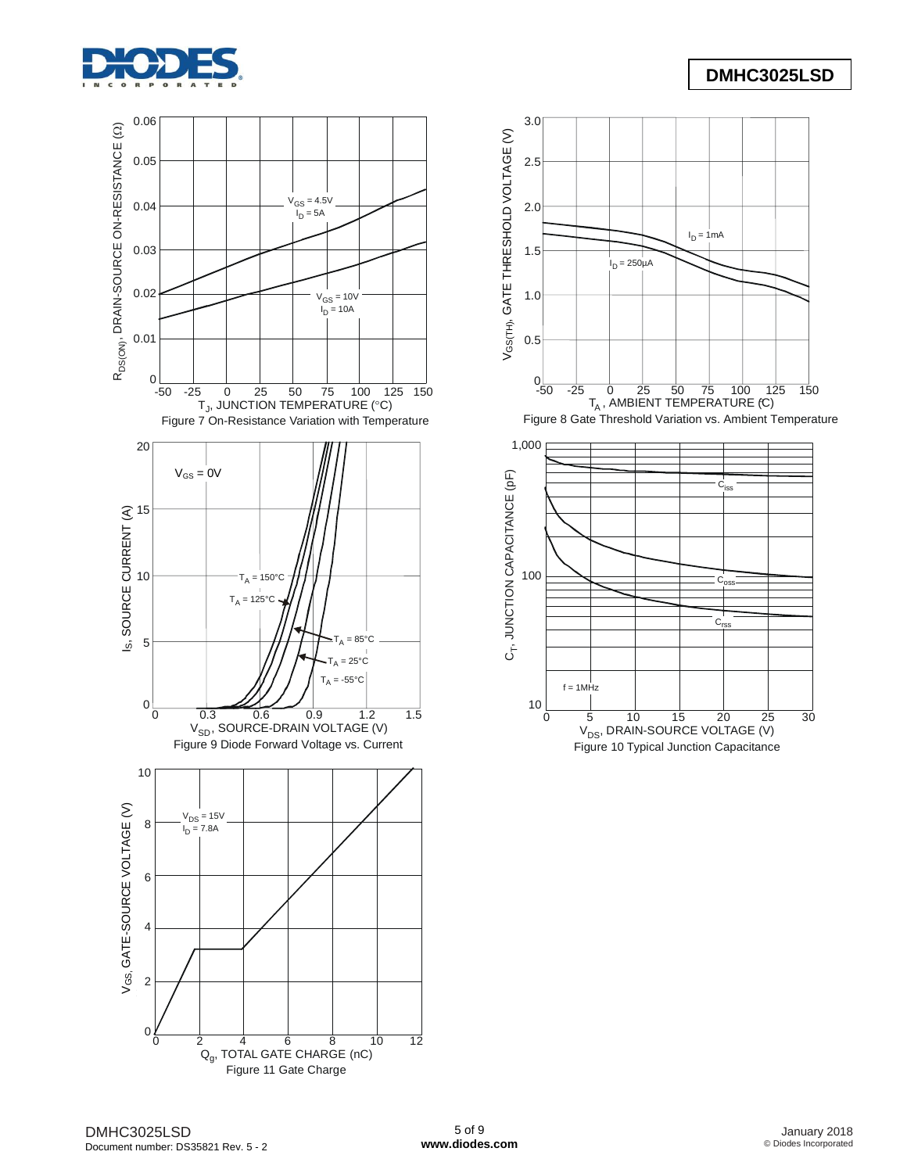





Figure 10 Typical Junction Capacitance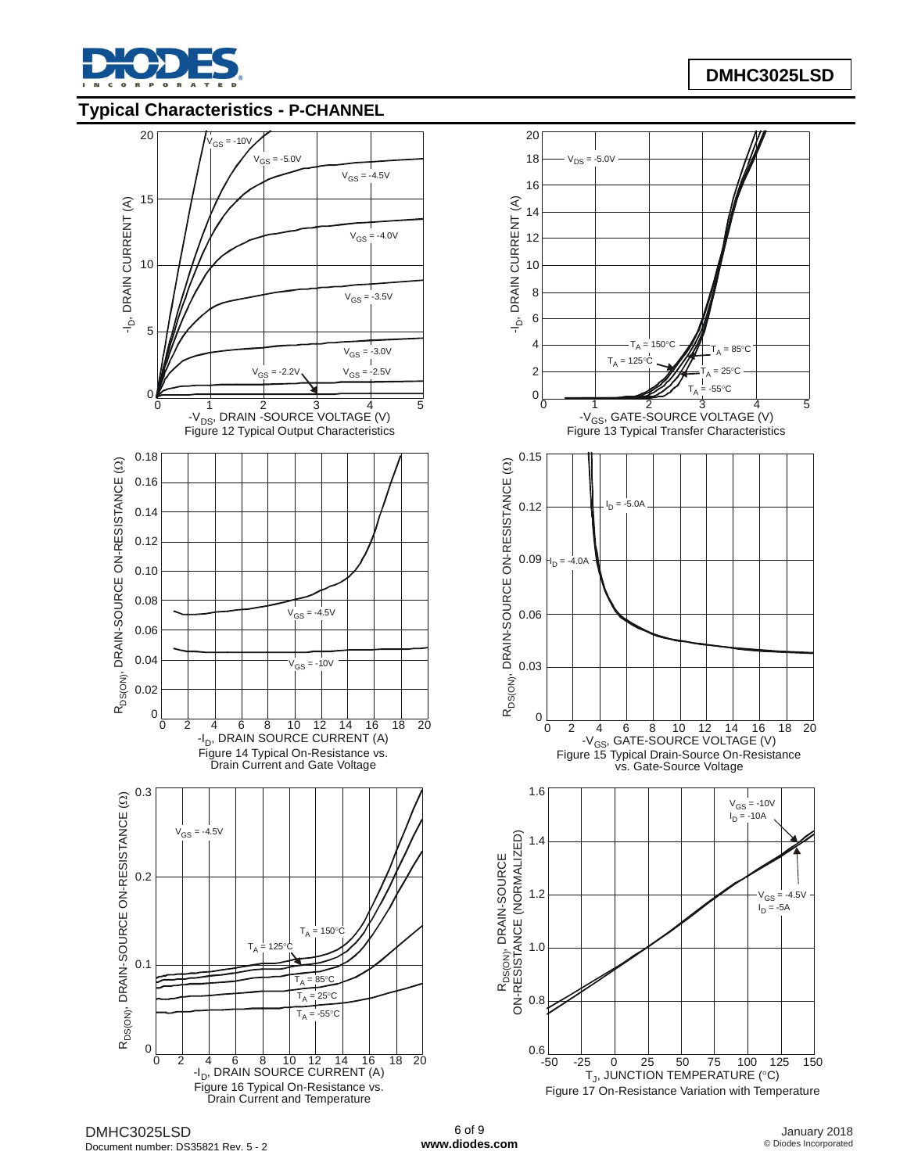

## **Typical Characteristics - P-CHANNEL**



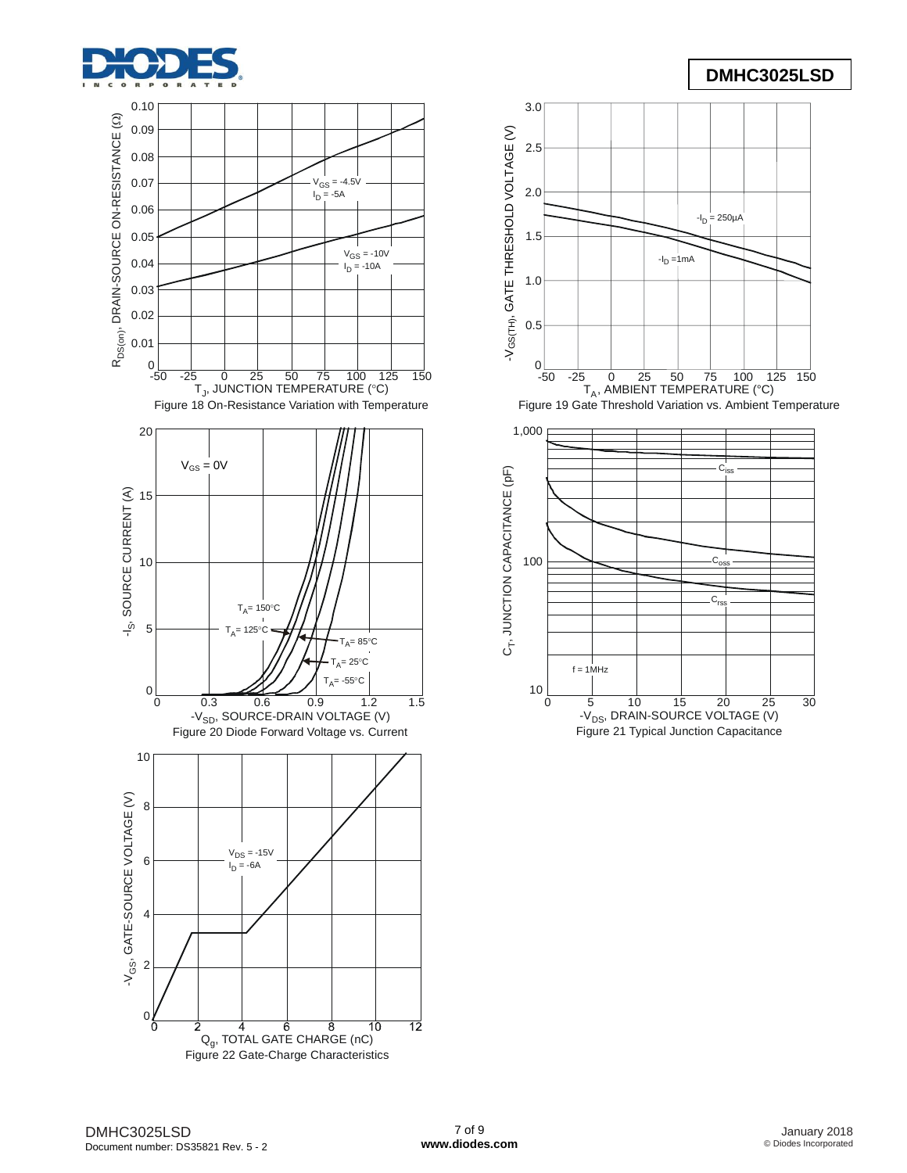





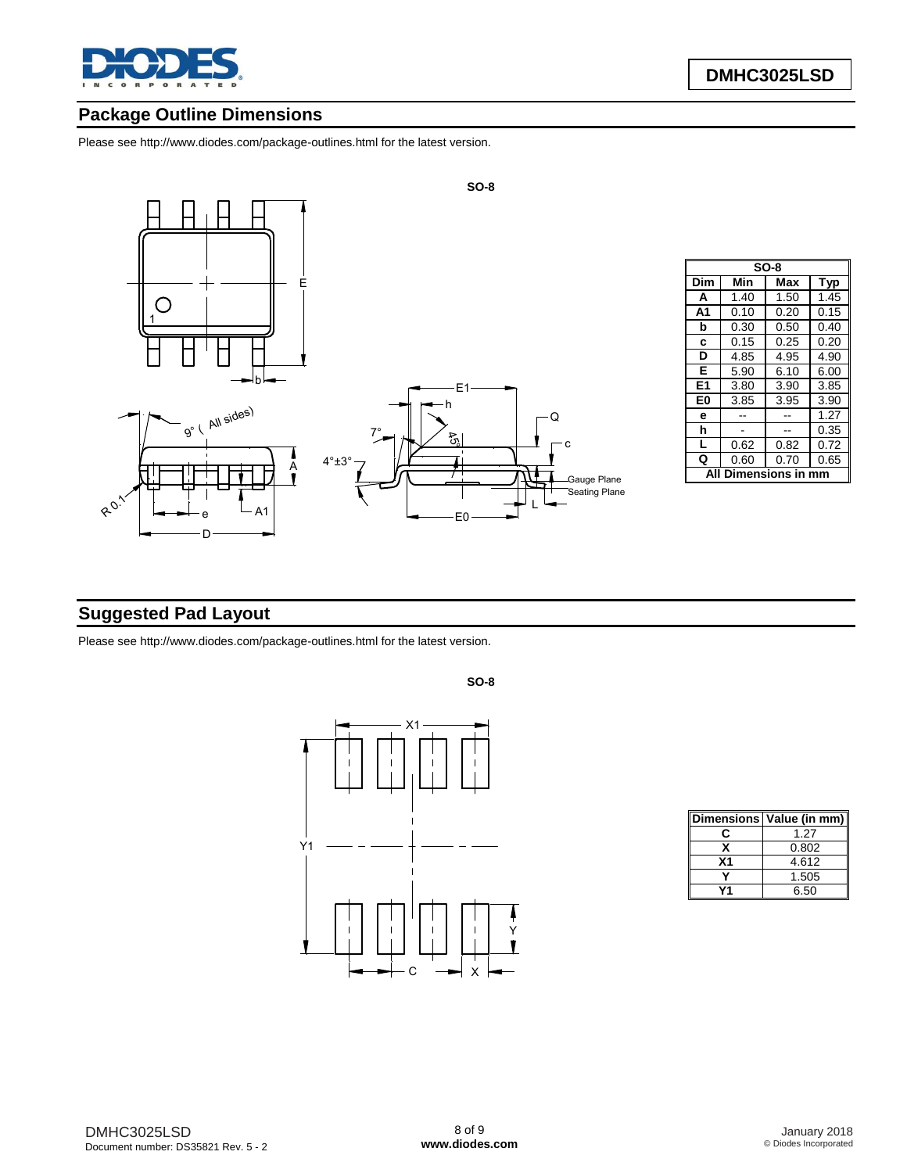

# **Package Outline Dimensions**

Please see <http://www.diodes.com/package-outlines.html> for the latest version.



| $SO-8$         |            |      |            |  |  |  |
|----------------|------------|------|------------|--|--|--|
| Dim            | Min        | Max  | <b>Typ</b> |  |  |  |
| A              | 1.40       | 1.50 | 1.45       |  |  |  |
| A <sub>1</sub> | 0.10       | 0.20 | 0.15       |  |  |  |
| b              | 0.30       | 0.50 | 0.40       |  |  |  |
| C              | 0.15       | 0.25 | 0.20       |  |  |  |
| D              | 4.85       | 4.95 | 4.90       |  |  |  |
| Е              | 5.90       | 6.10 | 6.00       |  |  |  |
| E1             | 3.80       | 3.90 | 3.85       |  |  |  |
| E0             | 3.85       | 3.95 | 3.90       |  |  |  |
| е              |            |      | 1.27       |  |  |  |
| h              |            |      | 0.35       |  |  |  |
| L              | 0.62       | 0.82 | 0.72       |  |  |  |
| Q              | 0.60       | 0.70 | 0.65       |  |  |  |
|                | nensions i |      |            |  |  |  |

# **Suggested Pad Layout**

Please see <http://www.diodes.com/package-outlines.html> for the latest version.



|    | Dimensions Value (in mm) |
|----|--------------------------|
| r: | 1.27                     |
|    | 0.802                    |
| Χ1 | 4.612                    |
|    | 1.505                    |
|    | 6.50                     |

**SO-8**